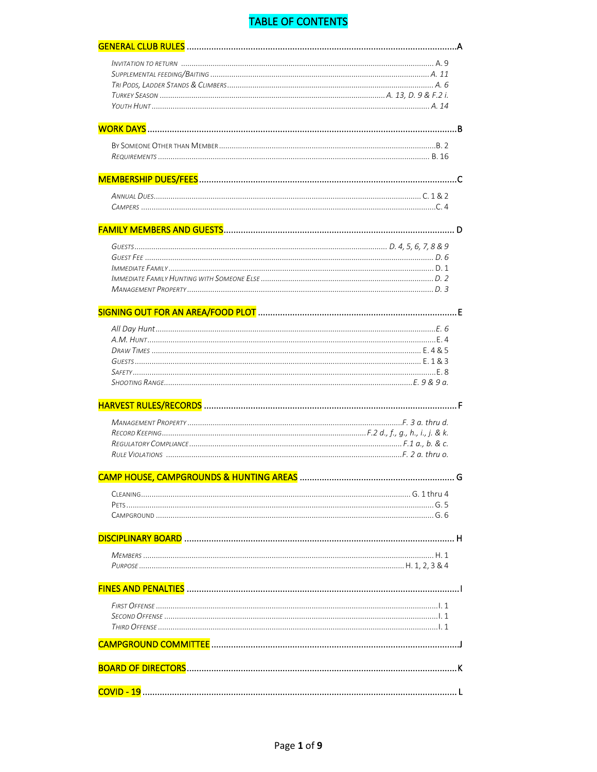# **TABLE OF CONTENTS**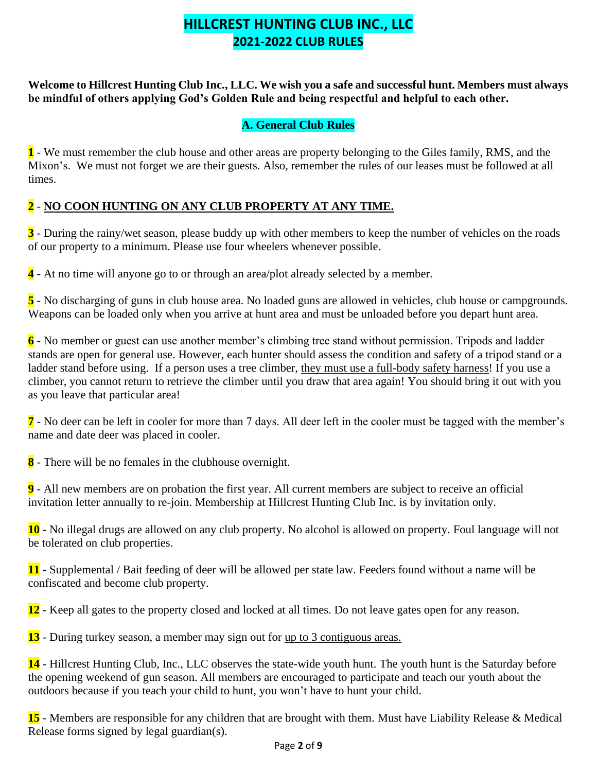# **HILLCREST HUNTING CLUB INC., LLC 2021-2022 CLUB RULES**

**Welcome to Hillcrest Hunting Club Inc., LLC. We wish you a safe and successful hunt. Members must always be mindful of others applying God's Golden Rule and being respectful and helpful to each other.**

#### **A. General Club Rules**

**1** - We must remember the club house and other areas are property belonging to the Giles family, RMS, and the Mixon's. We must not forget we are their guests. Also, remember the rules of our leases must be followed at all times.

#### **2** - **NO COON HUNTING ON ANY CLUB PROPERTY AT ANY TIME.**

**3** - During the rainy/wet season, please buddy up with other members to keep the number of vehicles on the roads of our property to a minimum. Please use four wheelers whenever possible.

**4** - At no time will anyone go to or through an area/plot already selected by a member.

**5** - No discharging of guns in club house area. No loaded guns are allowed in vehicles, club house or campgrounds. Weapons can be loaded only when you arrive at hunt area and must be unloaded before you depart hunt area.

**6** - No member or guest can use another member's climbing tree stand without permission. Tripods and ladder stands are open for general use. However, each hunter should assess the condition and safety of a tripod stand or a ladder stand before using. If a person uses a tree climber, they must use a full-body safety harness! If you use a climber, you cannot return to retrieve the climber until you draw that area again! You should bring it out with you as you leave that particular area!

**7** - No deer can be left in cooler for more than 7 days. All deer left in the cooler must be tagged with the member's name and date deer was placed in cooler.

**8** - There will be no females in the clubhouse overnight.

**9** - All new members are on probation the first year. All current members are subject to receive an official invitation letter annually to re-join. Membership at Hillcrest Hunting Club Inc. is by invitation only.

**10** - No illegal drugs are allowed on any club property. No alcohol is allowed on property. Foul language will not be tolerated on club properties.

**11** - Supplemental / Bait feeding of deer will be allowed per state law. Feeders found without a name will be confiscated and become club property.

**12** - Keep all gates to the property closed and locked at all times. Do not leave gates open for any reason.

**13** - During turkey season, a member may sign out for up to 3 contiguous areas.

**14** - Hillcrest Hunting Club, Inc., LLC observes the state-wide youth hunt. The youth hunt is the Saturday before the opening weekend of gun season. All members are encouraged to participate and teach our youth about the outdoors because if you teach your child to hunt, you won't have to hunt your child.

**15** - Members are responsible for any children that are brought with them. Must have Liability Release & Medical Release forms signed by legal guardian(s).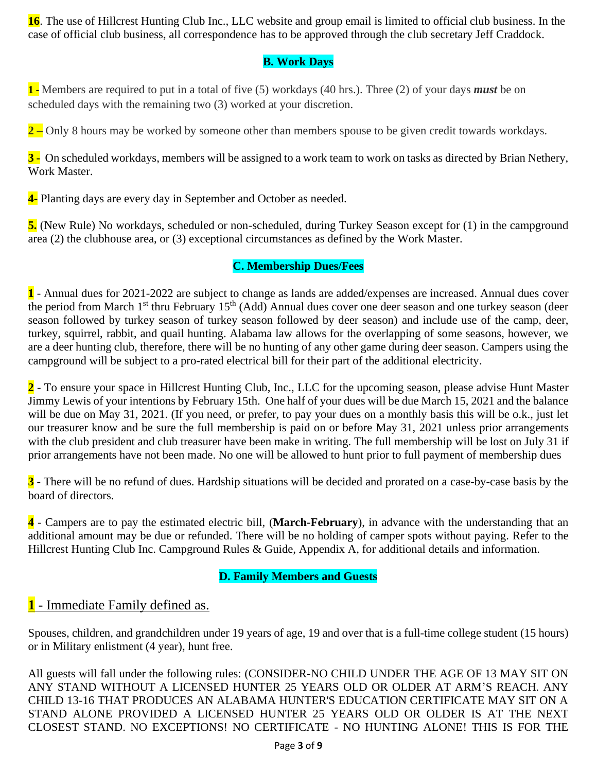**16**. The use of Hillcrest Hunting Club Inc., LLC website and group email is limited to official club business. In the case of official club business, all correspondence has to be approved through the club secretary Jeff Craddock.

## **B. Work Days**

**1 -** Members are required to put in a total of five (5) workdays (40 hrs.). Three (2) of your days *must* be on scheduled days with the remaining two (3) worked at your discretion.

**2** – Only 8 hours may be worked by someone other than members spouse to be given credit towards workdays.

**3 -** On scheduled workdays, members will be assigned to a work team to work on tasks as directed by Brian Nethery, Work Master.

**4-** Planting days are every day in September and October as needed.

**5.** (New Rule) No workdays, scheduled or non-scheduled, during Turkey Season except for (1) in the campground area (2) the clubhouse area, or (3) exceptional circumstances as defined by the Work Master.

## **C. Membership Dues/Fees**

**1** - Annual dues for 2021-2022 are subject to change as lands are added/expenses are increased. Annual dues cover the period from March 1<sup>st</sup> thru February 15<sup>th</sup> (Add) Annual dues cover one deer season and one turkey season (deer season followed by turkey season of turkey season followed by deer season) and include use of the camp, deer, turkey, squirrel, rabbit, and quail hunting. Alabama law allows for the overlapping of some seasons, however, we are a deer hunting club, therefore, there will be no hunting of any other game during deer season. Campers using the campground will be subject to a pro-rated electrical bill for their part of the additional electricity.

**2** - To ensure your space in Hillcrest Hunting Club, Inc., LLC for the upcoming season, please advise Hunt Master Jimmy Lewis of your intentions by February 15th. One half of your dues will be due March 15, 2021 and the balance will be due on May 31, 2021. (If you need, or prefer, to pay your dues on a monthly basis this will be o.k., just let our treasurer know and be sure the full membership is paid on or before May 31, 2021 unless prior arrangements with the club president and club treasurer have been make in writing. The full membership will be lost on July 31 if prior arrangements have not been made. No one will be allowed to hunt prior to full payment of membership dues

**3** - There will be no refund of dues. Hardship situations will be decided and prorated on a case-by-case basis by the board of directors.

**4** - Campers are to pay the estimated electric bill, (**March-February**), in advance with the understanding that an additional amount may be due or refunded. There will be no holding of camper spots without paying. Refer to the Hillcrest Hunting Club Inc. Campground Rules & Guide, Appendix A, for additional details and information.

### **D. Family Members and Guests**

## **1** - Immediate Family defined as.

Spouses, children, and grandchildren under 19 years of age, 19 and over that is a full-time college student (15 hours) or in Military enlistment (4 year), hunt free.

All guests will fall under the following rules: (CONSIDER-NO CHILD UNDER THE AGE OF 13 MAY SIT ON ANY STAND WITHOUT A LICENSED HUNTER 25 YEARS OLD OR OLDER AT ARM'S REACH. ANY CHILD 13-16 THAT PRODUCES AN ALABAMA HUNTER'S EDUCATION CERTIFICATE MAY SIT ON A STAND ALONE PROVIDED A LICENSED HUNTER 25 YEARS OLD OR OLDER IS AT THE NEXT CLOSEST STAND. NO EXCEPTIONS! NO CERTIFICATE - NO HUNTING ALONE! THIS IS FOR THE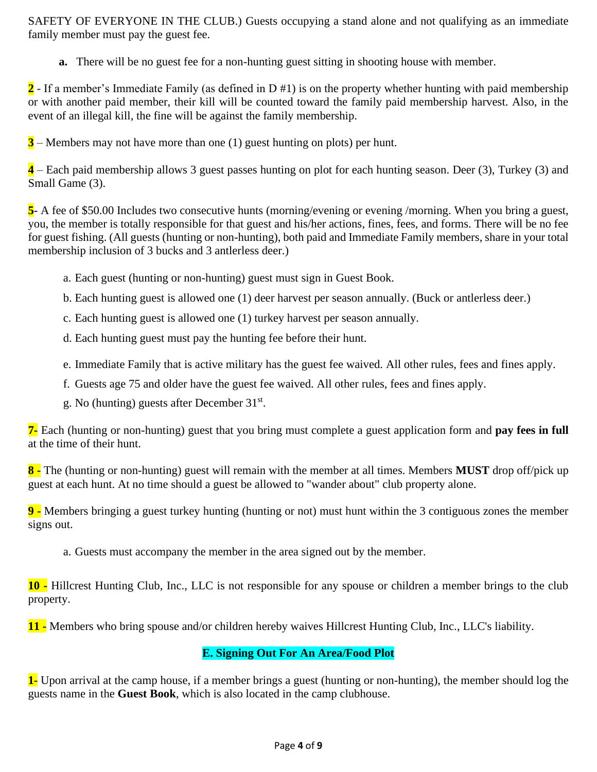SAFETY OF EVERYONE IN THE CLUB.) Guests occupying a stand alone and not qualifying as an immediate family member must pay the guest fee.

**a.** There will be no guest fee for a non-hunting guest sitting in shooting house with member.

**2** - If a member's Immediate Family (as defined in D #1) is on the property whether hunting with paid membership or with another paid member, their kill will be counted toward the family paid membership harvest. Also, in the event of an illegal kill, the fine will be against the family membership.

**3** – Members may not have more than one (1) guest hunting on plots) per hunt.

**4** – Each paid membership allows 3 guest passes hunting on plot for each hunting season. Deer (3), Turkey (3) and Small Game (3).

**5-** A fee of \$50.00 Includes two consecutive hunts (morning/evening or evening /morning. When you bring a guest, you, the member is totally responsible for that guest and his/her actions, fines, fees, and forms. There will be no fee for guest fishing. (All guests (hunting or non-hunting), both paid and Immediate Family members, share in your total membership inclusion of 3 bucks and 3 antlerless deer.)

- a. Each guest (hunting or non-hunting) guest must sign in Guest Book.
- b. Each hunting guest is allowed one (1) deer harvest per season annually. (Buck or antlerless deer.)
- c. Each hunting guest is allowed one (1) turkey harvest per season annually.
- d. Each hunting guest must pay the hunting fee before their hunt.
- e. Immediate Family that is active military has the guest fee waived. All other rules, fees and fines apply.
- f. Guests age 75 and older have the guest fee waived. All other rules, fees and fines apply.
- g. No (hunting) guests after December 31<sup>st</sup>.

**7-** Each (hunting or non-hunting) guest that you bring must complete a guest application form and **pay fees in full** at the time of their hunt.

**8 -** The (hunting or non-hunting) guest will remain with the member at all times. Members **MUST** drop off/pick up guest at each hunt. At no time should a guest be allowed to "wander about" club property alone.

**9 -** Members bringing a guest turkey hunting (hunting or not) must hunt within the 3 contiguous zones the member signs out.

a. Guests must accompany the member in the area signed out by the member.

**10 -** Hillcrest Hunting Club, Inc., LLC is not responsible for any spouse or children a member brings to the club property.

**11 -** Members who bring spouse and/or children hereby waives Hillcrest Hunting Club, Inc., LLC's liability.

#### **E. Signing Out For An Area/Food Plot**

**1-** Upon arrival at the camp house, if a member brings a guest (hunting or non-hunting), the member should log the guests name in the **Guest Book**, which is also located in the camp clubhouse.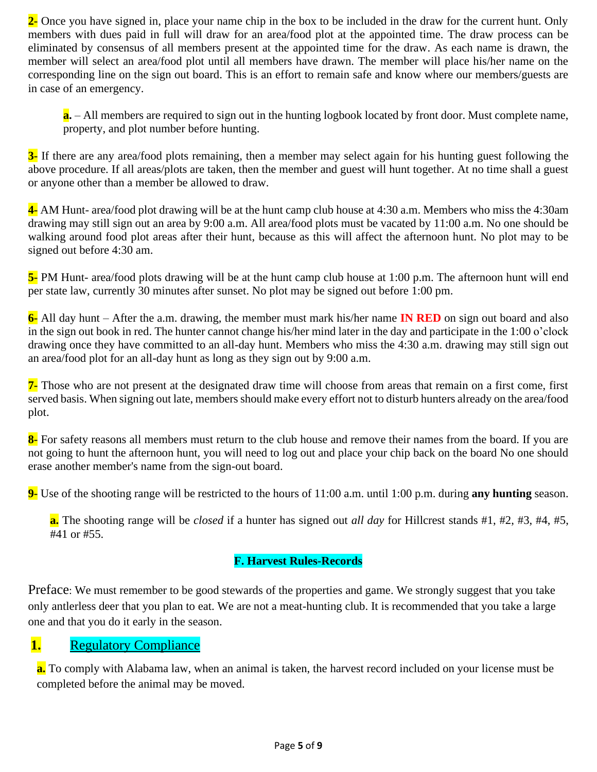**2-** Once you have signed in, place your name chip in the box to be included in the draw for the current hunt. Only members with dues paid in full will draw for an area/food plot at the appointed time. The draw process can be eliminated by consensus of all members present at the appointed time for the draw. As each name is drawn, the member will select an area/food plot until all members have drawn. The member will place his/her name on the corresponding line on the sign out board. This is an effort to remain safe and know where our members/guests are in case of an emergency.

**a.** – All members are required to sign out in the hunting logbook located by front door. Must complete name, property, and plot number before hunting.

**3-** If there are any area/food plots remaining, then a member may select again for his hunting guest following the above procedure. If all areas/plots are taken, then the member and guest will hunt together. At no time shall a guest or anyone other than a member be allowed to draw.

**4-** AM Hunt- area/food plot drawing will be at the hunt camp club house at 4:30 a.m. Members who miss the 4:30am drawing may still sign out an area by 9:00 a.m. All area/food plots must be vacated by 11:00 a.m. No one should be walking around food plot areas after their hunt, because as this will affect the afternoon hunt. No plot may to be signed out before 4:30 am.

**5-** PM Hunt- area/food plots drawing will be at the hunt camp club house at 1:00 p.m. The afternoon hunt will end per state law, currently 30 minutes after sunset. No plot may be signed out before 1:00 pm.

**6-** All day hunt – After the a.m. drawing, the member must mark his/her name **IN RED** on sign out board and also in the sign out book in red. The hunter cannot change his/her mind later in the day and participate in the 1:00 o'clock drawing once they have committed to an all-day hunt. Members who miss the 4:30 a.m. drawing may still sign out an area/food plot for an all-day hunt as long as they sign out by 9:00 a.m.

**7-** Those who are not present at the designated draw time will choose from areas that remain on a first come, first served basis. When signing out late, members should make every effort not to disturb hunters already on the area/food plot.

**8**- For safety reasons all members must return to the club house and remove their names from the board. If you are not going to hunt the afternoon hunt, you will need to log out and place your chip back on the board No one should erase another member's name from the sign-out board.

**9-** Use of the shooting range will be restricted to the hours of 11:00 a.m. until 1:00 p.m. during **any hunting** season.

**a.** The shooting range will be *closed* if a hunter has signed out *all day* for Hillcrest stands #1, #2, #3, #4, #5, #41 or #55.

#### **F. Harvest Rules-Records**

Preface: We must remember to be good stewards of the properties and game. We strongly suggest that you take only antlerless deer that you plan to eat. We are not a meat-hunting club. It is recommended that you take a large one and that you do it early in the season.

## **1.** Regulatory Compliance

**a.** To comply with Alabama law, when an animal is taken, the harvest record included on your license must be completed before the animal may be moved.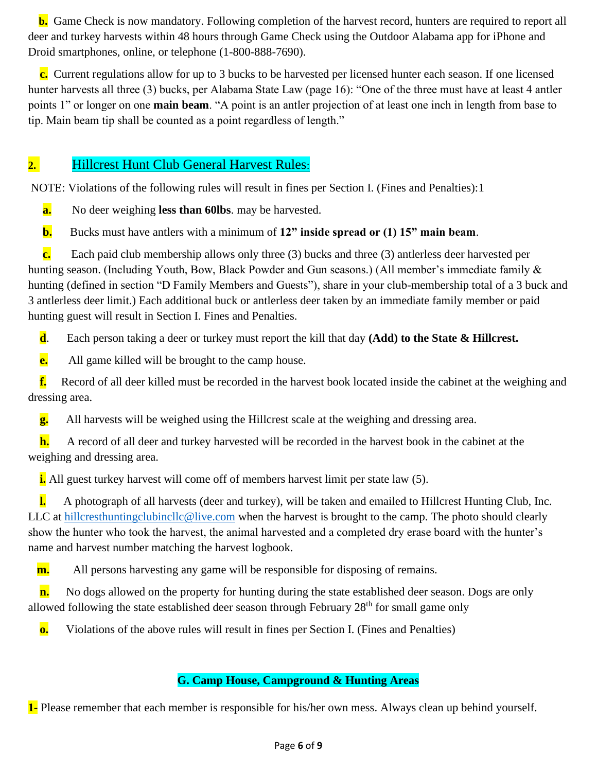**b.** Game Check is now mandatory. Following completion of the harvest record, hunters are required to report all deer and turkey harvests within 48 hours through Game Check using the Outdoor Alabama app for iPhone and Droid smartphones, online, or telephone (1-800-888-7690).

 **c.** Current regulations allow for up to 3 bucks to be harvested per licensed hunter each season. If one licensed hunter harvests all three (3) bucks, per Alabama State Law (page 16): "One of the three must have at least 4 antler points 1" or longer on one **main beam**. "A point is an antler projection of at least one inch in length from base to tip. Main beam tip shall be counted as a point regardless of length."

## **2.** Hillcrest Hunt Club General Harvest Rules:

NOTE: Violations of the following rules will result in fines per Section I. (Fines and Penalties):1

**a.** No deer weighing **less than 60lbs**. may be harvested.

**b.** Bucks must have antlers with a minimum of **12" inside spread or (1) 15" main beam**.

 **c.** Each paid club membership allows only three (3) bucks and three (3) antlerless deer harvested per hunting season. (Including Youth, Bow, Black Powder and Gun seasons.) (All member's immediate family & hunting (defined in section "D Family Members and Guests"), share in your club-membership total of a 3 buck and 3 antlerless deer limit.) Each additional buck or antlerless deer taken by an immediate family member or paid hunting guest will result in Section I. Fines and Penalties.

**d**. Each person taking a deer or turkey must report the kill that day **(Add) to the State & Hillcrest.**

**e.** All game killed will be brought to the camp house.

 **f.** Record of all deer killed must be recorded in the harvest book located inside the cabinet at the weighing and dressing area.

**g.** All harvests will be weighed using the Hillcrest scale at the weighing and dressing area.

 **h.** A record of all deer and turkey harvested will be recorded in the harvest book in the cabinet at the weighing and dressing area.

**i.** All guest turkey harvest will come off of members harvest limit per state law (5).

 **l.** A photograph of all harvests (deer and turkey), will be taken and emailed to Hillcrest Hunting Club, Inc. LLC at [hillcresthuntingclubincllc@live.com](mailto:hillcresthuntingclubincllc@live.com) when the harvest is brought to the camp. The photo should clearly show the hunter who took the harvest, the animal harvested and a completed dry erase board with the hunter's name and harvest number matching the harvest logbook.

**m.** All persons harvesting any game will be responsible for disposing of remains.

**n.** No dogs allowed on the property for hunting during the state established deer season. Dogs are only allowed following the state established deer season through February  $28<sup>th</sup>$  for small game only

**o.** Violations of the above rules will result in fines per Section I. (Fines and Penalties)

### **G. Camp House, Campground & Hunting Areas**

**1-** Please remember that each member is responsible for his/her own mess. Always clean up behind yourself.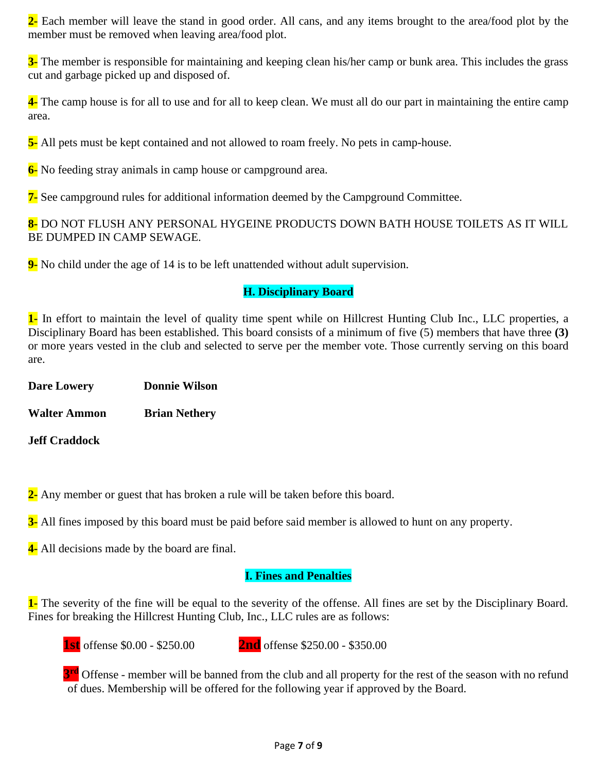**2-** Each member will leave the stand in good order. All cans, and any items brought to the area/food plot by the member must be removed when leaving area/food plot.

**3-** The member is responsible for maintaining and keeping clean his/her camp or bunk area. This includes the grass cut and garbage picked up and disposed of.

**4-** The camp house is for all to use and for all to keep clean. We must all do our part in maintaining the entire camp area.

**5-** All pets must be kept contained and not allowed to roam freely. No pets in camp-house.

**6-** No feeding stray animals in camp house or campground area.

**7-** See campground rules for additional information deemed by the Campground Committee.

**8-** DO NOT FLUSH ANY PERSONAL HYGEINE PRODUCTS DOWN BATH HOUSE TOILETS AS IT WILL BE DUMPED IN CAMP SEWAGE.

**9-** No child under the age of 14 is to be left unattended without adult supervision.

#### **H. Disciplinary Board**

**1-** In effort to maintain the level of quality time spent while on Hillcrest Hunting Club Inc., LLC properties, a Disciplinary Board has been established. This board consists of a minimum of five (5) members that have three **(3)** or more years vested in the club and selected to serve per the member vote. Those currently serving on this board are.

**Dare Lowery Donnie Wilson**

**Walter Ammon Brian Nethery**

**Jeff Craddock**

**2-** Any member or guest that has broken a rule will be taken before this board.

**3-** All fines imposed by this board must be paid before said member is allowed to hunt on any property.

**4-** All decisions made by the board are final.

## **I. Fines and Penalties**

**1-** The severity of the fine will be equal to the severity of the offense. All fines are set by the Disciplinary Board. Fines for breaking the Hillcrest Hunting Club, Inc., LLC rules are as follows:

**1st** offense \$0.00 - \$250.00 **2nd** offense \$250.00 - \$350.00

**3<sup>rd</sup>** Offense - member will be banned from the club and all property for the rest of the season with no refund of dues. Membership will be offered for the following year if approved by the Board.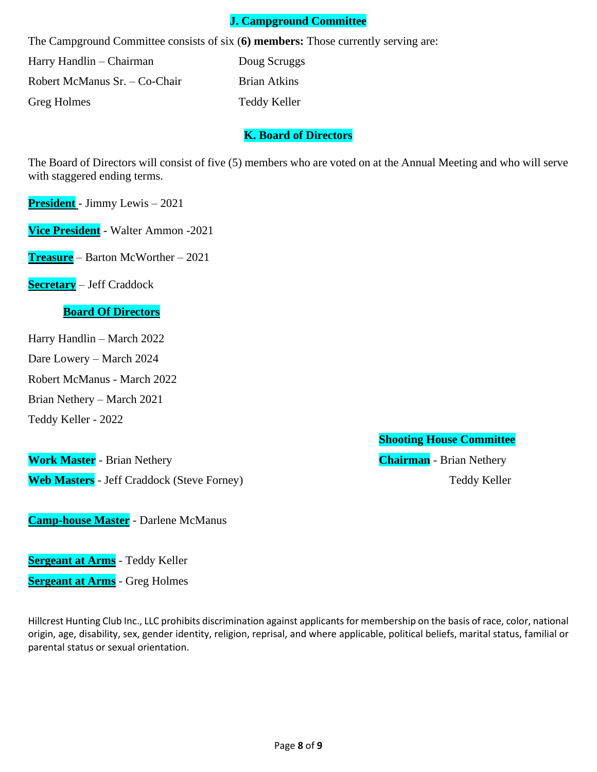#### **J. Campground Committee**

The Campground Committee consists of six (**6) members:** Those currently serving are:

Harry Handlin – Chairman Doug Scruggs Robert McManus Sr. – Co-Chair Brian Atkins Greg Holmes Teddy Keller

#### **K. Board of Directors**

The Board of Directors will consist of five (5) members who are voted on at the Annual Meeting and who will serve with staggered ending terms.

**President** - Jimmy Lewis – 2021

**Vice President** - Walter Ammon -2021

**Treasure** – Barton McWorther – 2021

**Secretary** – Jeff Craddock

#### **Board Of Directors**

Harry Handlin – March 2022

Dare Lowery – March 2024

Robert McManus - March 2022

Brian Nethery – March 2021

Teddy Keller - 2022

**Work Master** - Brian Nethery **Chairman** - Brian Nethery **Web Masters** - Jeff Craddock (Steve Forney) Teddy Keller

**Camp-house Master** - Darlene McManus

**Sergeant at Arms** - Teddy Keller **Sergeant at Arms** - Greg Holmes

Hillcrest Hunting Club Inc., LLC prohibits discrimination against applicants for membership on the basis of race, color, national origin, age, disability, sex, gender identity, religion, reprisal, and where applicable, political beliefs, marital status, familial or parental status or sexual orientation.

**Shooting House Committee**